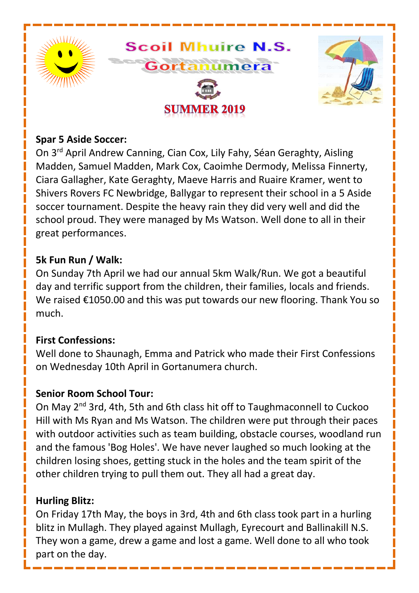

#### **Spar 5 Aside Soccer:**

On 3rd April Andrew Canning, Cian Cox, Lily Fahy, Séan Geraghty, Aisling Madden, Samuel Madden, Mark Cox, Caoimhe Dermody, Melissa Finnerty, Ciara Gallagher, Kate Geraghty, Maeve Harris and Ruaire Kramer, went to Shivers Rovers FC Newbridge, Ballygar to represent their school in a 5 Aside soccer tournament. Despite the heavy rain they did very well and did the school proud. They were managed by Ms Watson. Well done to all in their great performances.

#### **5k Fun Run / Walk:**

On Sunday 7th April we had our annual 5km Walk/Run. We got a beautiful day and terrific support from the children, their families, locals and friends. We raised €1050.00 and this was put towards our new flooring. Thank You so much.

#### **First Confessions:**

Well done to Shaunagh, Emma and Patrick who made their First Confessions on Wednesday 10th April in Gortanumera church.

#### **Senior Room School Tour:**

On Mav 2<sup>nd</sup> 3rd, 4th, 5th and 6th class hit off to Taughmaconnell to Cuckoo Hill with Ms Ryan and Ms Watson. The children were put through their paces with outdoor activities such as team building, obstacle courses, woodland run and the famous 'Bog Holes'. We have never laughed so much looking at the children losing shoes, getting stuck in the holes and the team spirit of the other children trying to pull them out. They all had a great day.

#### **Hurling Blitz:**

On Friday 17th May, the boys in 3rd, 4th and 6th class took part in a hurling blitz in Mullagh. They played against Mullagh, Eyrecourt and Ballinakill N.S. They won a game, drew a game and lost a game. Well done to all who took part on the day.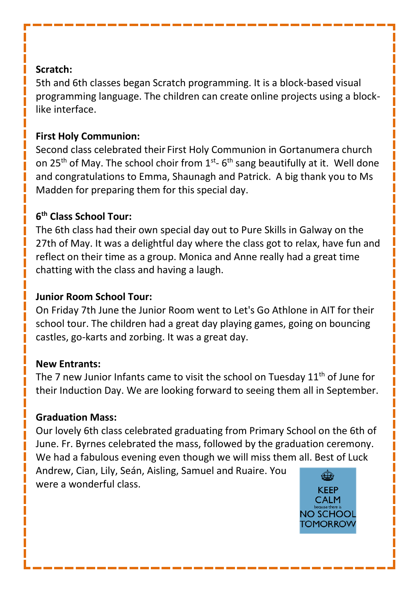#### **Scratch:**

5th and 6th classes began Scratch programming. It is a block-based visual programming language. The children can create online projects using a blocklike interface.

## **First Holy Communion:**

Second class celebrated their First Holy Communion in Gortanumera church on 25<sup>th</sup> of May. The school choir from 1<sup>st</sup>-6<sup>th</sup> sang beautifully at it. Well done and congratulations to Emma, Shaunagh and Patrick. A big thank you to Ms Madden for preparing them for this special day.

# **6 th Class School Tour:**

The 6th class had their own special day out to Pure Skills in Galway on the 27th of May. It was a delightful day where the class got to relax, have fun and reflect on their time as a group. Monica and Anne really had a great time chatting with the class and having a laugh.

### **Junior Room School Tour:**

On Friday 7th June the Junior Room went to Let's Go Athlone in AIT for their school tour. The children had a great day playing games, going on bouncing castles, go-karts and zorbing. It was a great day.

#### **New Entrants:**

The 7 new Junior Infants came to visit the school on Tuesday 11<sup>th</sup> of June for their Induction Day. We are looking forward to seeing them all in September.

# **Graduation Mass:**

Our lovely 6th class celebrated graduating from Primary School on the 6th of June. Fr. Byrnes celebrated the mass, followed by the graduation ceremony. We had a fabulous evening even though we will miss them all. Best of Luck Andrew, Cian, Lily, Seán, Aisling, Samuel and Ruaire. You were a wonderful class.

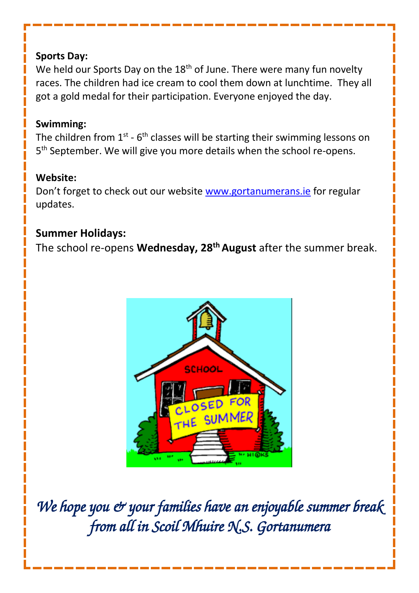## **Sports Day:**

We held our Sports Day on the 18<sup>th</sup> of June. There were many fun novelty races. The children had ice cream to cool them down at lunchtime. They all got a gold medal for their participation. Everyone enjoyed the day.

## **Swimming:**

The children from  $1^\text{st}$  - 6<sup>th</sup> classes will be starting their swimming lessons on 5 th September. We will give you more details when the school re-opens.

# **Website:**

Don't forget to check out our website [www.gortanumerans.ie](http://www.gortanumerans.ie/) for regular updates.

# **Summer Holidays:**

The school re-opens **Wednesday, 28th August** after the summer break.



We hope you & your families have an enjoyable summer break *from all in Scoil Mhuire N.S. Gortanumera*